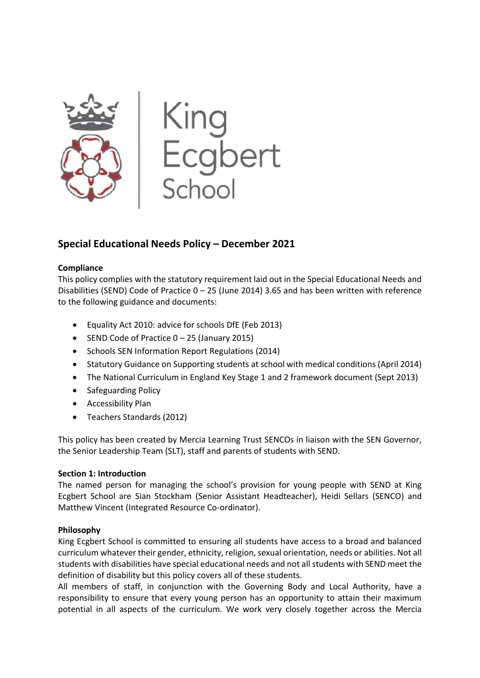

# **Special Educational Needs Policy – December 2021**

### **Compliance**

This policy complies with the statutory requirement laid out in the Special Educational Needs and Disabilities (SEND) Code of Practice 0 – 25 (June 2014) 3.65 and has been written with reference to the following guidance and documents:

- Equality Act 2010: advice for schools DfE (Feb 2013)
- SEND Code of Practice 0 25 (January 2015)
- Schools SEN Information Report Regulations (2014)
- Statutory Guidance on Supporting students at school with medical conditions (April 2014)
- The National Curriculum in England Key Stage 1 and 2 framework document (Sept 2013)
- Safeguarding Policy
- Accessibility Plan
- Teachers Standards (2012)

This policy has been created by Mercia Learning Trust SENCOs in liaison with the SEN Governor, the Senior Leadership Team (SLT), staff and parents of students with SEND.

## **Section 1: Introduction**

The named person for managing the school's provision for young people with SEND at King Ecgbert School are Sian Stockham (Senior Assistant Headteacher), Heidi Sellars (SENCO) and Matthew Vincent (Integrated Resource Co-ordinator).

## **Philosophy**

King Ecgbert School is committed to ensuring all students have access to a broad and balanced curriculum whatever their gender, ethnicity, religion, sexual orientation, needs or abilities. Not all students with disabilities have special educational needs and not all students with SEND meet the definition of disability but this policy covers all of these students.

All members of staff, in conjunction with the Governing Body and Local Authority, have a responsibility to ensure that every young person has an opportunity to attain their maximum potential in all aspects of the curriculum. We work very closely together across the Mercia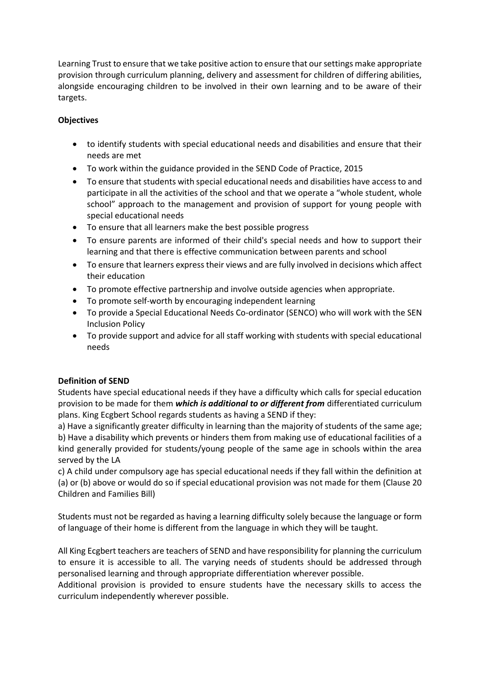Learning Trust to ensure that we take positive action to ensure that our settings make appropriate provision through curriculum planning, delivery and assessment for children of differing abilities, alongside encouraging children to be involved in their own learning and to be aware of their targets.

## **Objectives**

- to identify students with special educational needs and disabilities and ensure that their needs are met
- To work within the guidance provided in the SEND Code of Practice, 2015
- To ensure that students with special educational needs and disabilities have access to and participate in all the activities of the school and that we operate a "whole student, whole school" approach to the management and provision of support for young people with special educational needs
- To ensure that all learners make the best possible progress
- To ensure parents are informed of their child's special needs and how to support their learning and that there is effective communication between parents and school
- To ensure that learners express their views and are fully involved in decisions which affect their education
- To promote effective partnership and involve outside agencies when appropriate.
- To promote self-worth by encouraging independent learning
- To provide a Special Educational Needs Co-ordinator (SENCO) who will work with the SEN Inclusion Policy
- To provide support and advice for all staff working with students with special educational needs

## **Definition of SEND**

Students have special educational needs if they have a difficulty which calls for special education provision to be made for them *which is additional to or different from* differentiated curriculum plans. King Ecgbert School regards students as having a SEND if they:

a) Have a significantly greater difficulty in learning than the majority of students of the same age; b) Have a disability which prevents or hinders them from making use of educational facilities of a kind generally provided for students/young people of the same age in schools within the area served by the LA

c) A child under compulsory age has special educational needs if they fall within the definition at (a) or (b) above or would do so if special educational provision was not made for them (Clause 20 Children and Families Bill)

Students must not be regarded as having a learning difficulty solely because the language or form of language of their home is different from the language in which they will be taught.

All King Ecgbert teachers are teachers of SEND and have responsibility for planning the curriculum to ensure it is accessible to all. The varying needs of students should be addressed through personalised learning and through appropriate differentiation wherever possible.

Additional provision is provided to ensure students have the necessary skills to access the curriculum independently wherever possible.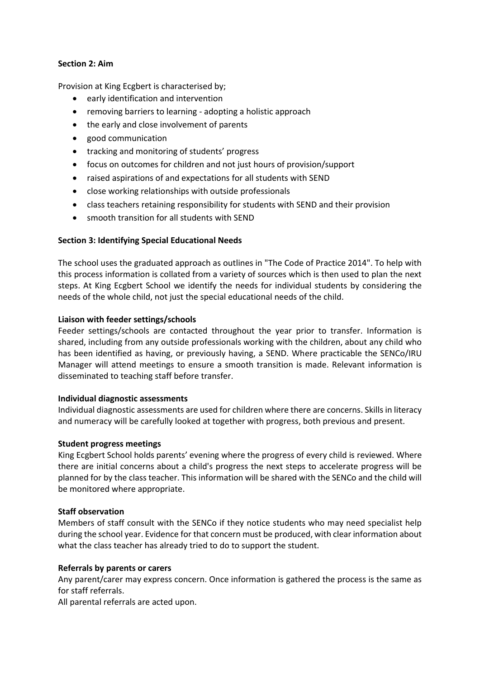### **Section 2: Aim**

Provision at King Ecgbert is characterised by;

- early identification and intervention
- removing barriers to learning adopting a holistic approach
- the early and close involvement of parents
- good communication
- tracking and monitoring of students' progress
- focus on outcomes for children and not just hours of provision/support
- raised aspirations of and expectations for all students with SEND
- close working relationships with outside professionals
- class teachers retaining responsibility for students with SEND and their provision
- smooth transition for all students with SEND

### **Section 3: Identifying Special Educational Needs**

The school uses the graduated approach as outlines in "The Code of Practice 2014". To help with this process information is collated from a variety of sources which is then used to plan the next steps. At King Ecgbert School we identify the needs for individual students by considering the needs of the whole child, not just the special educational needs of the child.

#### **Liaison with feeder settings/schools**

Feeder settings/schools are contacted throughout the year prior to transfer. Information is shared, including from any outside professionals working with the children, about any child who has been identified as having, or previously having, a SEND. Where practicable the SENCo/IRU Manager will attend meetings to ensure a smooth transition is made. Relevant information is disseminated to teaching staff before transfer.

#### **Individual diagnostic assessments**

Individual diagnostic assessments are used for children where there are concerns. Skills in literacy and numeracy will be carefully looked at together with progress, both previous and present.

### **Student progress meetings**

King Ecgbert School holds parents' evening where the progress of every child is reviewed. Where there are initial concerns about a child's progress the next steps to accelerate progress will be planned for by the class teacher. This information will be shared with the SENCo and the child will be monitored where appropriate.

#### **Staff observation**

Members of staff consult with the SENCo if they notice students who may need specialist help during the school year. Evidence for that concern must be produced, with clear information about what the class teacher has already tried to do to support the student.

#### **Referrals by parents or carers**

Any parent/carer may express concern. Once information is gathered the process is the same as for staff referrals.

All parental referrals are acted upon.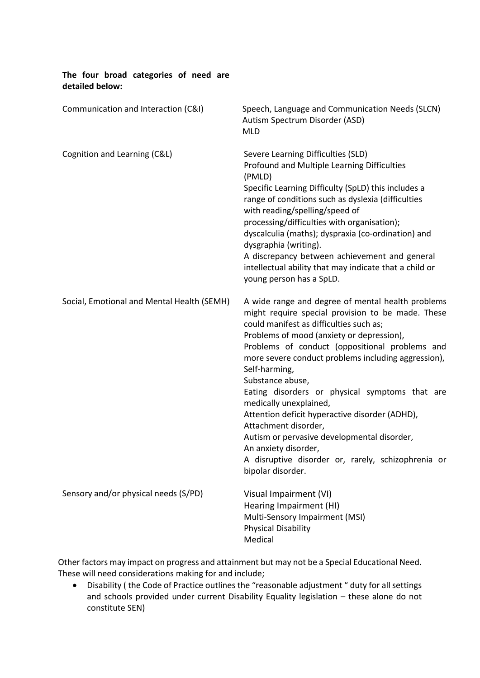| The four broad categories of need are<br>detailed below: |                                                                                                                                                                                                                                                                                                                                                                                                                                                                                                                                                                                                                                                      |
|----------------------------------------------------------|------------------------------------------------------------------------------------------------------------------------------------------------------------------------------------------------------------------------------------------------------------------------------------------------------------------------------------------------------------------------------------------------------------------------------------------------------------------------------------------------------------------------------------------------------------------------------------------------------------------------------------------------------|
| Communication and Interaction (C&I)                      | Speech, Language and Communication Needs (SLCN)<br>Autism Spectrum Disorder (ASD)<br><b>MLD</b>                                                                                                                                                                                                                                                                                                                                                                                                                                                                                                                                                      |
| Cognition and Learning (C&L)                             | Severe Learning Difficulties (SLD)<br>Profound and Multiple Learning Difficulties<br>(PMLD)<br>Specific Learning Difficulty (SpLD) this includes a<br>range of conditions such as dyslexia (difficulties<br>with reading/spelling/speed of<br>processing/difficulties with organisation);<br>dyscalculia (maths); dyspraxia (co-ordination) and<br>dysgraphia (writing).<br>A discrepancy between achievement and general<br>intellectual ability that may indicate that a child or<br>young person has a SpLD.                                                                                                                                      |
| Social, Emotional and Mental Health (SEMH)               | A wide range and degree of mental health problems<br>might require special provision to be made. These<br>could manifest as difficulties such as;<br>Problems of mood (anxiety or depression),<br>Problems of conduct (oppositional problems and<br>more severe conduct problems including aggression),<br>Self-harming,<br>Substance abuse,<br>Eating disorders or physical symptoms that are<br>medically unexplained,<br>Attention deficit hyperactive disorder (ADHD),<br>Attachment disorder,<br>Autism or pervasive developmental disorder,<br>An anxiety disorder,<br>A disruptive disorder or, rarely, schizophrenia or<br>bipolar disorder. |
| Sensory and/or physical needs (S/PD)                     | Visual Impairment (VI)<br>Hearing Impairment (HI)<br>Multi-Sensory Impairment (MSI)<br><b>Physical Disability</b><br>Medical                                                                                                                                                                                                                                                                                                                                                                                                                                                                                                                         |

Other factors may impact on progress and attainment but may not be a Special Educational Need. These will need considerations making for and include;

• Disability ( the Code of Practice outlines the "reasonable adjustment " duty for all settings and schools provided under current Disability Equality legislation – these alone do not constitute SEN)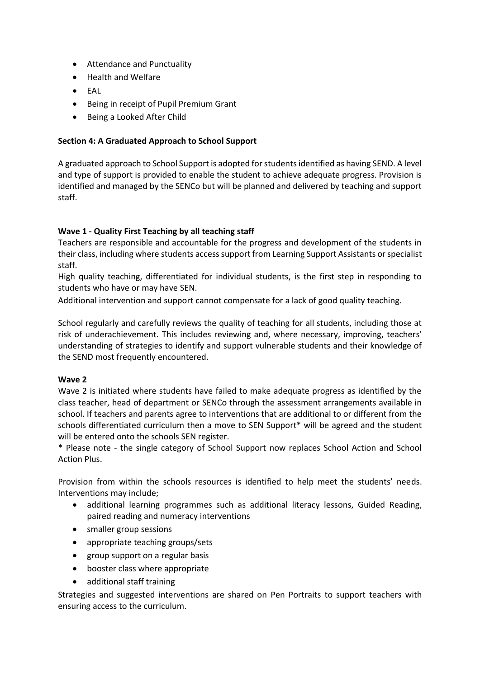- Attendance and Punctuality
- Health and Welfare
- EAL
- Being in receipt of Pupil Premium Grant
- Being a Looked After Child

#### **Section 4: A Graduated Approach to School Support**

A graduated approach to School Support is adopted for students identified as having SEND. A level and type of support is provided to enable the student to achieve adequate progress. Provision is identified and managed by the SENCo but will be planned and delivered by teaching and support staff.

### **Wave 1 - Quality First Teaching by all teaching staff**

Teachers are responsible and accountable for the progress and development of the students in their class, including where students access support from Learning Support Assistants or specialist staff.

High quality teaching, differentiated for individual students, is the first step in responding to students who have or may have SEN.

Additional intervention and support cannot compensate for a lack of good quality teaching.

School regularly and carefully reviews the quality of teaching for all students, including those at risk of underachievement. This includes reviewing and, where necessary, improving, teachers' understanding of strategies to identify and support vulnerable students and their knowledge of the SEND most frequently encountered.

#### **Wave 2**

Wave 2 is initiated where students have failed to make adequate progress as identified by the class teacher, head of department or SENCo through the assessment arrangements available in school. If teachers and parents agree to interventions that are additional to or different from the schools differentiated curriculum then a move to SEN Support\* will be agreed and the student will be entered onto the schools SEN register.

\* Please note - the single category of School Support now replaces School Action and School Action Plus.

Provision from within the schools resources is identified to help meet the students' needs. Interventions may include;

- additional learning programmes such as additional literacy lessons, Guided Reading, paired reading and numeracy interventions
- smaller group sessions
- appropriate teaching groups/sets
- group support on a regular basis
- booster class where appropriate
- additional staff training

Strategies and suggested interventions are shared on Pen Portraits to support teachers with ensuring access to the curriculum.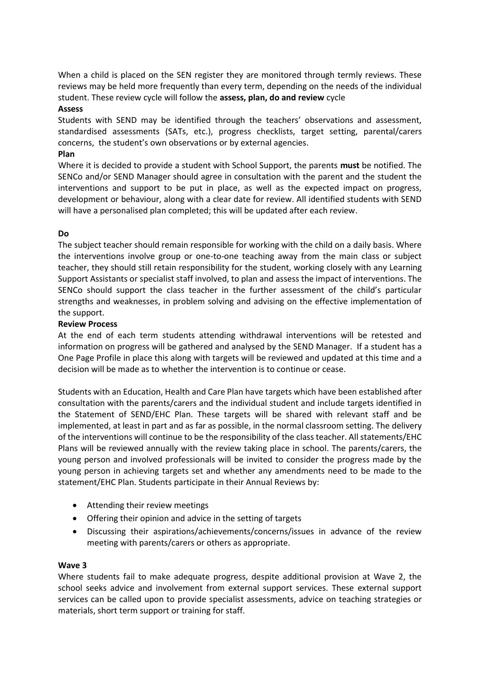When a child is placed on the SEN register they are monitored through termly reviews. These reviews may be held more frequently than every term, depending on the needs of the individual student. These review cycle will follow the **assess, plan, do and review** cycle

#### **Assess**

Students with SEND may be identified through the teachers' observations and assessment, standardised assessments (SATs, etc.), progress checklists, target setting, parental/carers concerns, the student's own observations or by external agencies.

### **Plan**

Where it is decided to provide a student with School Support, the parents **must** be notified. The SENCo and/or SEND Manager should agree in consultation with the parent and the student the interventions and support to be put in place, as well as the expected impact on progress, development or behaviour, along with a clear date for review. All identified students with SEND will have a personalised plan completed; this will be updated after each review.

### **Do**

The subject teacher should remain responsible for working with the child on a daily basis. Where the interventions involve group or one-to-one teaching away from the main class or subject teacher, they should still retain responsibility for the student, working closely with any Learning Support Assistants or specialist staff involved, to plan and assess the impact of interventions. The SENCo should support the class teacher in the further assessment of the child's particular strengths and weaknesses, in problem solving and advising on the effective implementation of the support.

#### **Review Process**

At the end of each term students attending withdrawal interventions will be retested and information on progress will be gathered and analysed by the SEND Manager. If a student has a One Page Profile in place this along with targets will be reviewed and updated at this time and a decision will be made as to whether the intervention is to continue or cease.

Students with an Education, Health and Care Plan have targets which have been established after consultation with the parents/carers and the individual student and include targets identified in the Statement of SEND/EHC Plan. These targets will be shared with relevant staff and be implemented, at least in part and as far as possible, in the normal classroom setting. The delivery of the interventions will continue to be the responsibility of the class teacher. All statements/EHC Plans will be reviewed annually with the review taking place in school. The parents/carers, the young person and involved professionals will be invited to consider the progress made by the young person in achieving targets set and whether any amendments need to be made to the statement/EHC Plan. Students participate in their Annual Reviews by:

- Attending their review meetings
- Offering their opinion and advice in the setting of targets
- Discussing their aspirations/achievements/concerns/issues in advance of the review meeting with parents/carers or others as appropriate.

#### **Wave 3**

Where students fail to make adequate progress, despite additional provision at Wave 2, the school seeks advice and involvement from external support services. These external support services can be called upon to provide specialist assessments, advice on teaching strategies or materials, short term support or training for staff.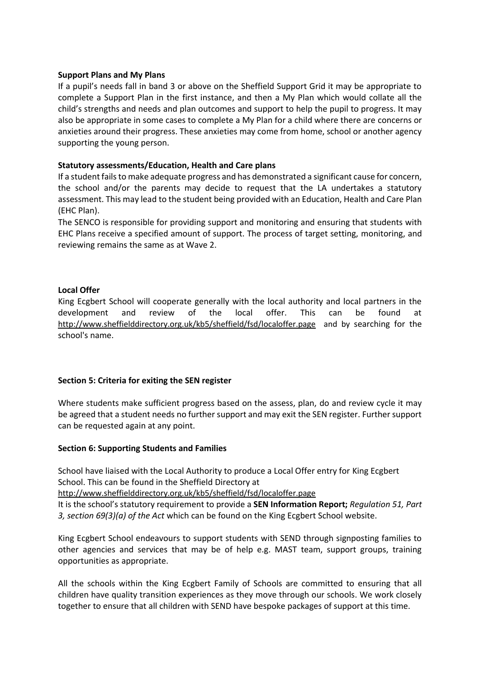#### **Support Plans and My Plans**

If a pupil's needs fall in band 3 or above on the Sheffield Support Grid it may be appropriate to complete a Support Plan in the first instance, and then a My Plan which would collate all the child's strengths and needs and plan outcomes and support to help the pupil to progress. It may also be appropriate in some cases to complete a My Plan for a child where there are concerns or anxieties around their progress. These anxieties may come from home, school or another agency supporting the young person.

#### **Statutory assessments/Education, Health and Care plans**

If a student fails to make adequate progress and has demonstrated a significant cause for concern, the school and/or the parents may decide to request that the LA undertakes a statutory assessment. This may lead to the student being provided with an Education, Health and Care Plan (EHC Plan).

The SENCO is responsible for providing support and monitoring and ensuring that students with EHC Plans receive a specified amount of support. The process of target setting, monitoring, and reviewing remains the same as at Wave 2.

### **Local Offer**

King Ecgbert School will cooperate generally with the local authority and local partners in the development and review of the local offer. This can be found at <http://www.sheffielddirectory.org.uk/kb5/sheffield/fsd/localoffer.page>and by searching for the school's name.

### **Section 5: Criteria for exiting the SEN register**

Where students make sufficient progress based on the assess, plan, do and review cycle it may be agreed that a student needs no further support and may exit the SEN register. Further support can be requested again at any point.

#### **Section 6: Supporting Students and Families**

School have liaised with the Local Authority to produce a Local Offer entry for King Ecgbert School. This can be found in the Sheffield Directory at

<http://www.sheffielddirectory.org.uk/kb5/sheffield/fsd/localoffer.page>

It is the school's statutory requirement to provide a **SEN Information Report;** *Regulation 51, Part 3, section 69(3)(a) of the Act* which can be found on the King Ecgbert School website.

King Ecgbert School endeavours to support students with SEND through signposting families to other agencies and services that may be of help e.g. MAST team, support groups, training opportunities as appropriate.

All the schools within the King Ecgbert Family of Schools are committed to ensuring that all children have quality transition experiences as they move through our schools. We work closely together to ensure that all children with SEND have bespoke packages of support at this time.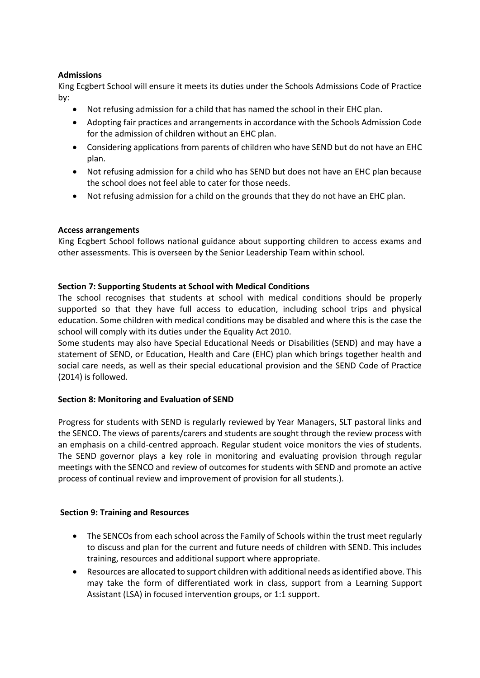## **Admissions**

King Ecgbert School will ensure it meets its duties under the Schools Admissions Code of Practice by:

- Not refusing admission for a child that has named the school in their EHC plan.
- Adopting fair practices and arrangements in accordance with the Schools Admission Code for the admission of children without an EHC plan.
- Considering applications from parents of children who have SEND but do not have an EHC plan.
- Not refusing admission for a child who has SEND but does not have an EHC plan because the school does not feel able to cater for those needs.
- Not refusing admission for a child on the grounds that they do not have an EHC plan.

## **Access arrangements**

King Ecgbert School follows national guidance about supporting children to access exams and other assessments. This is overseen by the Senior Leadership Team within school.

## **Section 7: Supporting Students at School with Medical Conditions**

The school recognises that students at school with medical conditions should be properly supported so that they have full access to education, including school trips and physical education. Some children with medical conditions may be disabled and where this is the case the school will comply with its duties under the Equality Act 2010.

Some students may also have Special Educational Needs or Disabilities (SEND) and may have a statement of SEND, or Education, Health and Care (EHC) plan which brings together health and social care needs, as well as their special educational provision and the SEND Code of Practice (2014) is followed.

## **Section 8: Monitoring and Evaluation of SEND**

Progress for students with SEND is regularly reviewed by Year Managers, SLT pastoral links and the SENCO. The views of parents/carers and students are sought through the review process with an emphasis on a child-centred approach. Regular student voice monitors the vies of students. The SEND governor plays a key role in monitoring and evaluating provision through regular meetings with the SENCO and review of outcomes for students with SEND and promote an active process of continual review and improvement of provision for all students.).

### **Section 9: Training and Resources**

- The SENCOs from each school across the Family of Schools within the trust meet regularly to discuss and plan for the current and future needs of children with SEND. This includes training, resources and additional support where appropriate.
- Resources are allocated to support children with additional needs as identified above. This may take the form of differentiated work in class, support from a Learning Support Assistant (LSA) in focused intervention groups, or 1:1 support.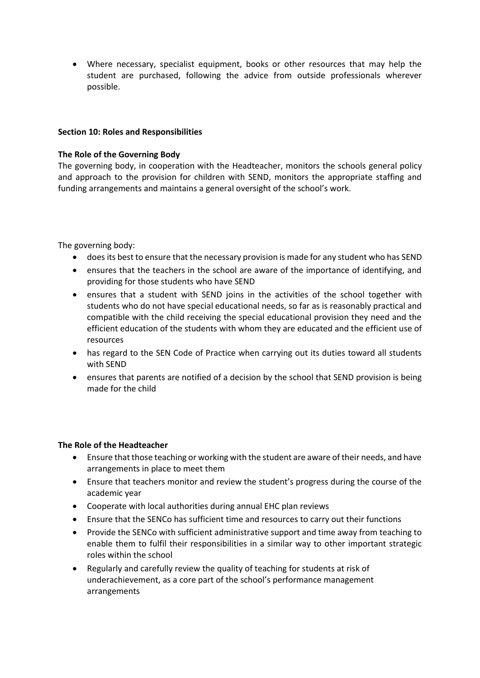• Where necessary, specialist equipment, books or other resources that may help the student are purchased, following the advice from outside professionals wherever possible.

#### **Section 10: Roles and Responsibilities**

#### **The Role of the Governing Body**

The governing body, in cooperation with the Headteacher, monitors the schools general policy and approach to the provision for children with SEND, monitors the appropriate staffing and funding arrangements and maintains a general oversight of the school's work.

The governing body:

- does its best to ensure that the necessary provision is made for any student who has SEND
- ensures that the teachers in the school are aware of the importance of identifying, and providing for those students who have SEND
- ensures that a student with SEND joins in the activities of the school together with students who do not have special educational needs, so far as is reasonably practical and compatible with the child receiving the special educational provision they need and the efficient education of the students with whom they are educated and the efficient use of resources
- has regard to the SEN Code of Practice when carrying out its duties toward all students with SEND
- ensures that parents are notified of a decision by the school that SEND provision is being made for the child

#### **The Role of the Headteacher**

- Ensure that those teaching or working with the student are aware of their needs, and have arrangements in place to meet them
- Ensure that teachers monitor and review the student's progress during the course of the academic year
- Cooperate with local authorities during annual EHC plan reviews
- Ensure that the SENCo has sufficient time and resources to carry out their functions
- Provide the SENCo with sufficient administrative support and time away from teaching to enable them to fulfil their responsibilities in a similar way to other important strategic roles within the school
- Regularly and carefully review the quality of teaching for students at risk of underachievement, as a core part of the school's performance management arrangements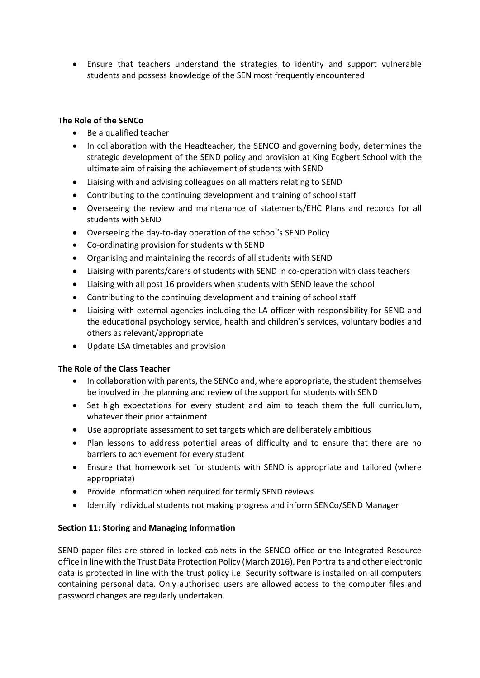• Ensure that teachers understand the strategies to identify and support vulnerable students and possess knowledge of the SEN most frequently encountered

### **The Role of the SENCo**

- Be a qualified teacher
- In collaboration with the Headteacher, the SENCO and governing body, determines the strategic development of the SEND policy and provision at King Ecgbert School with the ultimate aim of raising the achievement of students with SEND
- Liaising with and advising colleagues on all matters relating to SEND
- Contributing to the continuing development and training of school staff
- Overseeing the review and maintenance of statements/EHC Plans and records for all students with SEND
- Overseeing the day-to-day operation of the school's SEND Policy
- Co-ordinating provision for students with SEND
- Organising and maintaining the records of all students with SEND
- Liaising with parents/carers of students with SEND in co-operation with class teachers
- Liaising with all post 16 providers when students with SEND leave the school
- Contributing to the continuing development and training of school staff
- Liaising with external agencies including the LA officer with responsibility for SEND and the educational psychology service, health and children's services, voluntary bodies and others as relevant/appropriate
- Update LSA timetables and provision

## **The Role of the Class Teacher**

- In collaboration with parents, the SENCo and, where appropriate, the student themselves be involved in the planning and review of the support for students with SEND
- Set high expectations for every student and aim to teach them the full curriculum, whatever their prior attainment
- Use appropriate assessment to set targets which are deliberately ambitious
- Plan lessons to address potential areas of difficulty and to ensure that there are no barriers to achievement for every student
- Ensure that homework set for students with SEND is appropriate and tailored (where appropriate)
- Provide information when required for termly SEND reviews
- Identify individual students not making progress and inform SENCo/SEND Manager

## **Section 11: Storing and Managing Information**

SEND paper files are stored in locked cabinets in the SENCO office or the Integrated Resource office in line with the Trust Data Protection Policy (March 2016). Pen Portraits and other electronic data is protected in line with the trust policy i.e. Security software is installed on all computers containing personal data. Only authorised users are allowed access to the computer files and password changes are regularly undertaken.